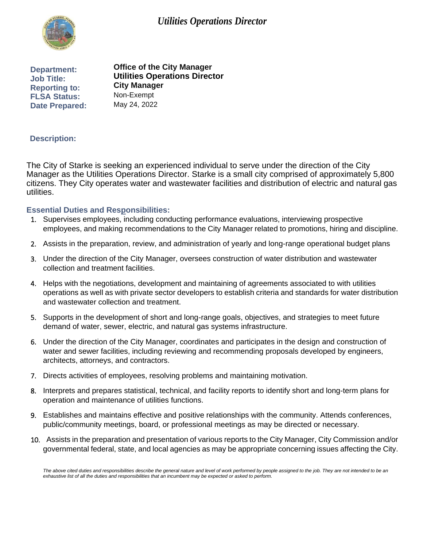# *Utilities Operations Director*



**Department: Job Title:** 

**Reporting to: FLSA Status: Date Prepared: Office of the City Manager Utilities Operations Director City Manager**  Non-Exempt May 24, 2022

## **Description:**

The City of Starke is seeking an experienced individual to serve under the direction of the City Manager as the Utilities Operations Director. Starke is a small city comprised of approximately 5,800 citizens. They City operates water and wastewater facilities and distribution of electric and natural gas utilities.

#### **Essential Duties and Responsibilities:**

- 1. Supervises employees, including conducting performance evaluations, interviewing prospective employees, and making recommendations to the City Manager related to promotions, hiring and discipline.
- 2. Assists in the preparation, review, and administration of yearly and long-range operational budget plans
- 3. Under the direction of the City Manager, oversees construction of water distribution and wastewater collection and treatment facilities.
- 4. Helps with the negotiations, development and maintaining of agreements associated to with utilities operations as well as with private sector developers to establish criteria and standards for water distribution and wastewater collection and treatment.
- 5. Supports in the development of short and long-range goals, objectives, and strategies to meet future demand of water, sewer, electric, and natural gas systems infrastructure.
- 6. Under the direction of the City Manager, coordinates and participates in the design and construction of water and sewer facilities, including reviewing and recommending proposals developed by engineers, architects, attorneys, and contractors.
- 7. Directs activities of employees, resolving problems and maintaining motivation.
- 8. Interprets and prepares statistical, technical, and facility reports to identify short and long-term plans for operation and maintenance of utilities functions.
- 9. Establishes and maintains effective and positive relationships with the community. Attends conferences, public/community meetings, board, or professional meetings as may be directed or necessary.
- 10. Assists in the preparation and presentation of various reports to the City Manager, City Commission and/or governmental federal, state, and local agencies as may be appropriate concerning issues affecting the City.